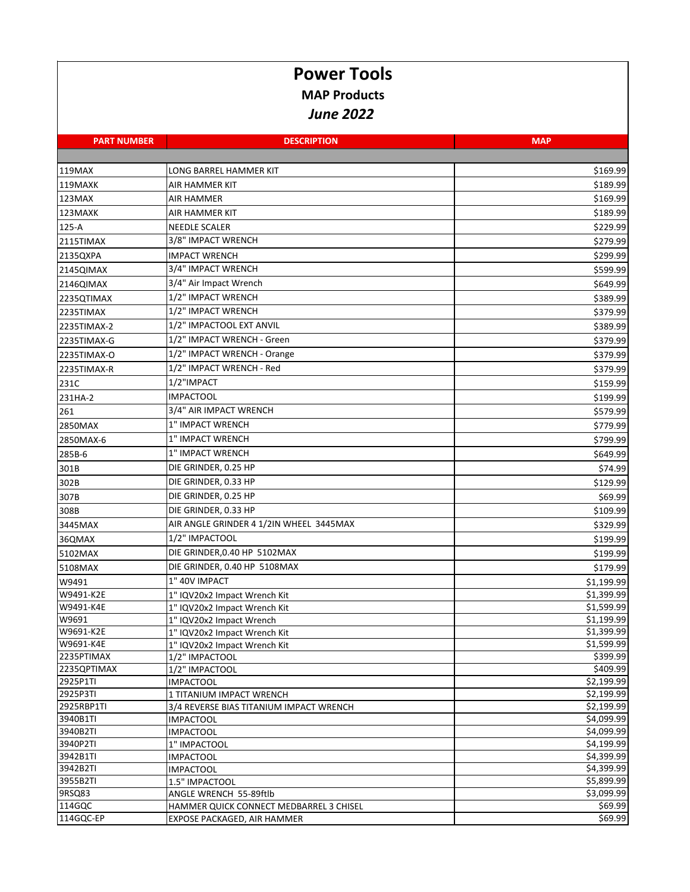## **Power Tools MAP Products** *June 2022*

| <b>PART NUMBER</b>     | <b>DESCRIPTION</b>                             | <b>MAP</b>               |
|------------------------|------------------------------------------------|--------------------------|
|                        |                                                |                          |
| 119MAX                 | LONG BARREL HAMMER KIT                         | \$169.99                 |
| 119MAXK                | AIR HAMMER KIT                                 | \$189.99                 |
| 123MAX                 | AIR HAMMER                                     | \$169.99                 |
| 123MAXK                | AIR HAMMER KIT                                 | \$189.99                 |
| 125-A                  | <b>NEEDLE SCALER</b>                           | \$229.99                 |
| 2115TIMAX              | 3/8" IMPACT WRENCH                             | \$279.99                 |
| 2135QXPA               | <b>IMPACT WRENCH</b>                           | \$299.99                 |
| 2145QIMAX              | 3/4" IMPACT WRENCH                             | \$599.99                 |
| 2146QIMAX              | 3/4" Air Impact Wrench                         | \$649.99                 |
|                        | 1/2" IMPACT WRENCH                             |                          |
| 2235QTIMAX             |                                                | \$389.99                 |
| 2235TIMAX              | 1/2" IMPACT WRENCH                             | \$379.99                 |
| 2235TIMAX-2            | 1/2" IMPACTOOL EXT ANVIL                       | \$389.99                 |
| 2235TIMAX-G            | 1/2" IMPACT WRENCH - Green                     | \$379.99                 |
| 2235TIMAX-O            | 1/2" IMPACT WRENCH - Orange                    | \$379.99                 |
| 2235TIMAX-R            | 1/2" IMPACT WRENCH - Red                       | \$379.99                 |
| 231C                   | 1/2"IMPACT                                     | \$159.99                 |
| 231HA-2                | <b>IMPACTOOL</b>                               | \$199.99                 |
| 261                    | 3/4" AIR IMPACT WRENCH                         | \$579.99                 |
| 2850MAX                | 1" IMPACT WRENCH                               | \$779.99                 |
| 2850MAX-6              | 1" IMPACT WRENCH                               | \$799.99                 |
| 285B-6                 | 1" IMPACT WRENCH                               | \$649.99                 |
| 301B                   | DIE GRINDER, 0.25 HP                           | \$74.99                  |
| 302B                   | DIE GRINDER, 0.33 HP                           | \$129.99                 |
| 307B                   | DIE GRINDER, 0.25 HP                           | \$69.99                  |
|                        | DIE GRINDER, 0.33 HP                           |                          |
| 308B                   |                                                | \$109.99                 |
| 3445MAX                | AIR ANGLE GRINDER 4 1/2IN WHEEL 3445MAX        | \$329.99                 |
| 36QMAX                 | 1/2" IMPACTOOL                                 | \$199.99                 |
| 5102MAX                | DIE GRINDER, 0.40 HP 5102MAX                   | \$199.99                 |
| 5108MAX                | DIE GRINDER, 0.40 HP 5108MAX                   | \$179.99                 |
| W9491                  | 1" 40V IMPACT                                  | \$1,199.99               |
| W9491-K2E              | 1" IQV20x2 Impact Wrench Kit                   | \$1,399.99               |
| W9491-K4E              | 1" IQV20x2 Impact Wrench Kit                   | \$1,599.99               |
| W9691                  | 1" IQV20x2 Impact Wrench                       | \$1,199.99               |
| W9691-K2E<br>W9691-K4E | 1" IQV20x2 Impact Wrench Kit                   | \$1,399.99<br>\$1,599.99 |
| 2235PTIMAX             | 1" IQV20x2 Impact Wrench Kit<br>1/2" IMPACTOOL | \$399.99                 |
| 2235QPTIMAX            | 1/2" IMPACTOOL                                 | \$409.99                 |
| 2925P1TI               | <b>IMPACTOOL</b>                               | \$2,199.99               |
| 2925P3TI               | 1 TITANIUM IMPACT WRENCH                       | \$2,199.99               |
| 2925RBP1TI             | 3/4 REVERSE BIAS TITANIUM IMPACT WRENCH        | \$2,199.99               |
| 3940B1TI               | IMPACTOOL                                      | \$4,099.99               |
| 3940B2TI               | <b>IMPACTOOL</b>                               | \$4,099.99               |
| 3940P2TI               | 1" IMPACTOOL                                   | \$4,199.99               |
| 3942B1TI               | <b>IMPACTOOL</b>                               | \$4,399.99               |
| 3942B2TI               | <b>IMPACTOOL</b>                               | \$4,399.99               |
| 3955B2TI               | 1.5" IMPACTOOL                                 | \$5,899.99               |
| 9RSQ83                 | ANGLE WRENCH 55-89ftlb                         | \$3,099.99               |
| 114GQC                 | HAMMER QUICK CONNECT MEDBARREL 3 CHISEL        | \$69.99                  |
| 114GQC-EP              | EXPOSE PACKAGED, AIR HAMMER                    | \$69.99                  |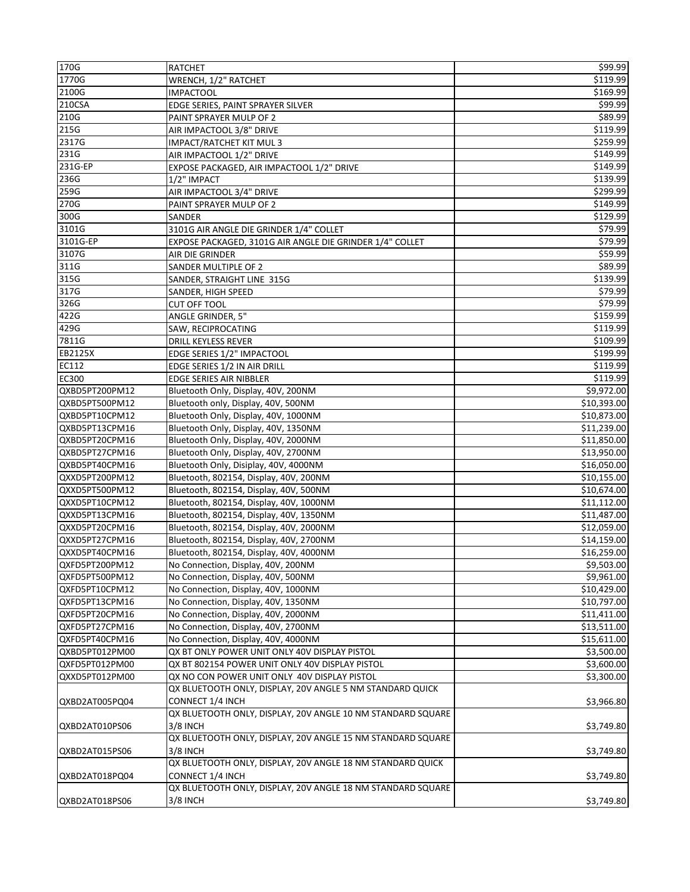| 170G           | <b>RATCHET</b>                                              | \$99.99     |
|----------------|-------------------------------------------------------------|-------------|
| 1770G          | WRENCH, 1/2" RATCHET                                        | \$119.99    |
| 2100G          | <b>IMPACTOOL</b>                                            | \$169.99    |
| 210CSA         | EDGE SERIES, PAINT SPRAYER SILVER                           | \$99.99     |
| 210G           | PAINT SPRAYER MULP OF 2                                     | \$89.99     |
| 215G           | AIR IMPACTOOL 3/8" DRIVE                                    | \$119.99    |
| 2317G          | IMPACT/RATCHET KIT MUL 3                                    | \$259.99    |
| 231G           | AIR IMPACTOOL 1/2" DRIVE                                    | \$149.99    |
| 231G-EP        | EXPOSE PACKAGED, AIR IMPACTOOL 1/2" DRIVE                   | \$149.99    |
| 236G           | 1/2" IMPACT                                                 | \$139.99    |
| 259G           | AIR IMPACTOOL 3/4" DRIVE                                    | \$299.99    |
| 270G           | PAINT SPRAYER MULP OF 2                                     | \$149.99    |
| 300G           | <b>SANDER</b>                                               | \$129.99    |
| 3101G          | 3101G AIR ANGLE DIE GRINDER 1/4" COLLET                     | \$79.99     |
| 3101G-EP       | EXPOSE PACKAGED, 3101G AIR ANGLE DIE GRINDER 1/4" COLLET    | \$79.99     |
| 3107G          | AIR DIE GRINDER                                             | \$59.99     |
| 311G           |                                                             | \$89.99     |
|                | SANDER MULTIPLE OF 2                                        |             |
| 315G           | SANDER, STRAIGHT LINE 315G                                  | \$139.99    |
| 317G           | SANDER, HIGH SPEED                                          | \$79.99     |
| 326G           | <b>CUT OFF TOOL</b>                                         | \$79.99     |
| 422G           | ANGLE GRINDER, 5"                                           | \$159.99    |
| 429G           | SAW, RECIPROCATING                                          | \$119.99    |
| 7811G          | <b>DRILL KEYLESS REVER</b>                                  | \$109.99    |
| EB2125X        | EDGE SERIES 1/2" IMPACTOOL                                  | \$199.99    |
| EC112          | EDGE SERIES 1/2 IN AIR DRILL                                | \$119.99    |
| EC300          | EDGE SERIES AIR NIBBLER                                     | \$119.99    |
| QXBD5PT200PM12 | Bluetooth Only, Display, 40V, 200NM                         | \$9,972.00  |
| QXBD5PT500PM12 | Bluetooth only, Display, 40V, 500NM                         | \$10,393.00 |
| QXBD5PT10CPM12 | Bluetooth Only, Display, 40V, 1000NM                        | \$10,873.00 |
| QXBD5PT13CPM16 | Bluetooth Only, Display, 40V, 1350NM                        | \$11,239.00 |
| QXBD5PT20CPM16 | Bluetooth Only, Display, 40V, 2000NM                        | \$11,850.00 |
| QXBD5PT27CPM16 | Bluetooth Only, Display, 40V, 2700NM                        | \$13,950.00 |
| QXBD5PT40CPM16 | Bluetooth Only, Disiplay, 40V, 4000NM                       | \$16,050.00 |
| QXXD5PT200PM12 | Bluetooth, 802154, Display, 40V, 200NM                      | \$10,155.00 |
| QXXD5PT500PM12 | Bluetooth, 802154, Display, 40V, 500NM                      | \$10,674.00 |
| QXXD5PT10CPM12 | Bluetooth, 802154, Display, 40V, 1000NM                     | \$11,112.00 |
| QXXD5PT13CPM16 | Bluetooth, 802154, Display, 40V, 1350NM                     | \$11,487.00 |
| QXXD5PT20CPM16 | Bluetooth, 802154, Display, 40V, 2000NM                     | \$12,059.00 |
| QXXD5PT27CPM16 | Bluetooth, 802154, Display, 40V, 2700NM                     | \$14,159.00 |
| QXXD5PT40CPM16 | Bluetooth, 802154, Display, 40V, 4000NM                     | \$16,259.00 |
| QXFD5PT200PM12 | No Connection, Display, 40V, 200NM                          | \$9,503.00  |
| QXFD5PT500PM12 | No Connection, Display, 40V, 500NM                          | \$9,961.00  |
| QXFD5PT10CPM12 | No Connection, Display, 40V, 1000NM                         | \$10,429.00 |
| QXFD5PT13CPM16 | No Connection, Display, 40V, 1350NM                         | \$10,797.00 |
| QXFD5PT20CPM16 | No Connection, Display, 40V, 2000NM                         | \$11,411.00 |
| QXFD5PT27CPM16 | No Connection, Display, 40V, 2700NM                         | \$13,511.00 |
| QXFD5PT40CPM16 | No Connection, Display, 40V, 4000NM                         | \$15,611.00 |
| QXBD5PT012PM00 | QX BT ONLY POWER UNIT ONLY 40V DISPLAY PISTOL               | \$3,500.00  |
| QXFD5PT012PM00 | QX BT 802154 POWER UNIT ONLY 40V DISPLAY PISTOL             | \$3,600.00  |
| QXXD5PT012PM00 | QX NO CON POWER UNIT ONLY 40V DISPLAY PISTOL                | \$3,300.00  |
|                | QX BLUETOOTH ONLY, DISPLAY, 20V ANGLE 5 NM STANDARD QUICK   |             |
|                |                                                             |             |
| QXBD2AT005PQ04 | CONNECT 1/4 INCH                                            | \$3,966.80  |
|                | QX BLUETOOTH ONLY, DISPLAY, 20V ANGLE 10 NM STANDARD SQUARE |             |
| QXBD2AT010PS06 | 3/8 INCH                                                    | \$3,749.80  |
|                | QX BLUETOOTH ONLY, DISPLAY, 20V ANGLE 15 NM STANDARD SQUARE |             |
| QXBD2AT015PS06 | 3/8 INCH                                                    | \$3,749.80  |
|                | QX BLUETOOTH ONLY, DISPLAY, 20V ANGLE 18 NM STANDARD QUICK  |             |
| QXBD2AT018PQ04 | CONNECT 1/4 INCH                                            | \$3,749.80  |
|                | QX BLUETOOTH ONLY, DISPLAY, 20V ANGLE 18 NM STANDARD SQUARE |             |
| QXBD2AT018PS06 | 3/8 INCH                                                    | \$3,749.80  |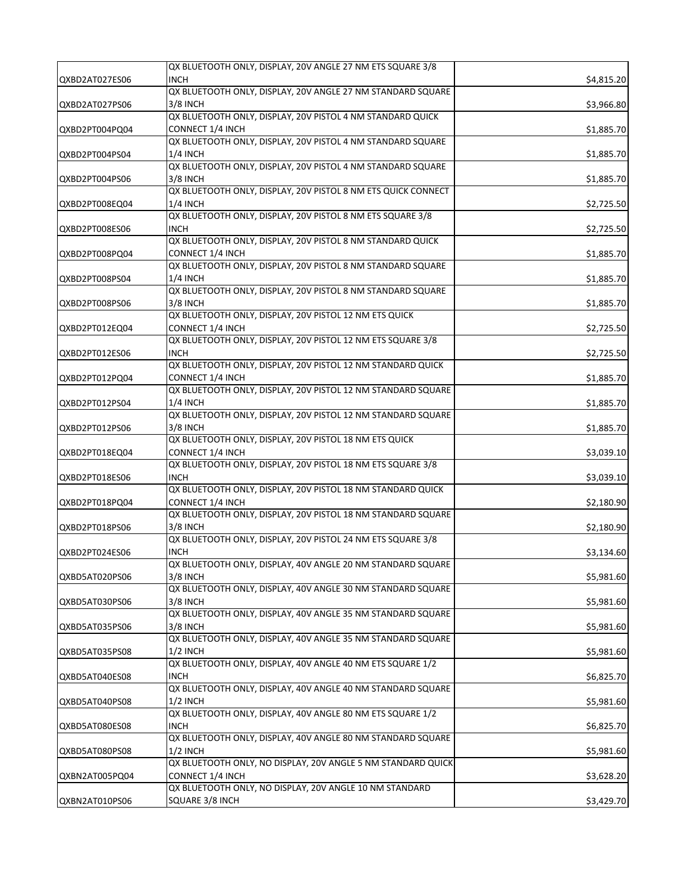|                | QX BLUETOOTH ONLY, DISPLAY, 20V ANGLE 27 NM ETS SQUARE 3/8                      |            |
|----------------|---------------------------------------------------------------------------------|------------|
| QXBD2AT027ES06 | <b>INCH</b>                                                                     | \$4,815.20 |
|                | QX BLUETOOTH ONLY, DISPLAY, 20V ANGLE 27 NM STANDARD SQUARE                     |            |
| QXBD2AT027PS06 | 3/8 INCH                                                                        | \$3,966.80 |
|                | QX BLUETOOTH ONLY, DISPLAY, 20V PISTOL 4 NM STANDARD QUICK                      |            |
| QXBD2PT004PQ04 | CONNECT 1/4 INCH                                                                |            |
|                | QX BLUETOOTH ONLY, DISPLAY, 20V PISTOL 4 NM STANDARD SQUARE                     | \$1,885.70 |
|                |                                                                                 |            |
| QXBD2PT004PS04 | $1/4$ INCH                                                                      | \$1,885.70 |
|                | QX BLUETOOTH ONLY, DISPLAY, 20V PISTOL 4 NM STANDARD SQUARE                     |            |
| QXBD2PT004PS06 | 3/8 INCH                                                                        | \$1,885.70 |
|                | QX BLUETOOTH ONLY, DISPLAY, 20V PISTOL 8 NM ETS QUICK CONNECT                   |            |
| QXBD2PT008EQ04 | $1/4$ INCH                                                                      | \$2,725.50 |
|                | QX BLUETOOTH ONLY, DISPLAY, 20V PISTOL 8 NM ETS SQUARE 3/8                      |            |
| QXBD2PT008ES06 | <b>INCH</b>                                                                     | \$2,725.50 |
|                | QX BLUETOOTH ONLY, DISPLAY, 20V PISTOL 8 NM STANDARD QUICK                      |            |
| QXBD2PT008PQ04 | <b>CONNECT 1/4 INCH</b>                                                         | \$1,885.70 |
|                | QX BLUETOOTH ONLY, DISPLAY, 20V PISTOL 8 NM STANDARD SQUARE                     |            |
| QXBD2PT008PS04 | 1/4 INCH                                                                        | \$1,885.70 |
|                | QX BLUETOOTH ONLY, DISPLAY, 20V PISTOL 8 NM STANDARD SQUARE                     |            |
| QXBD2PT008PS06 | 3/8 INCH                                                                        | \$1,885.70 |
|                | QX BLUETOOTH ONLY, DISPLAY, 20V PISTOL 12 NM ETS QUICK                          |            |
| QXBD2PT012EQ04 |                                                                                 |            |
|                | CONNECT 1/4 INCH<br>QX BLUETOOTH ONLY, DISPLAY, 20V PISTOL 12 NM ETS SQUARE 3/8 | \$2,725.50 |
|                |                                                                                 |            |
| QXBD2PT012ES06 | <b>INCH</b>                                                                     | \$2,725.50 |
|                | QX BLUETOOTH ONLY, DISPLAY, 20V PISTOL 12 NM STANDARD QUICK                     |            |
| QXBD2PT012PQ04 | CONNECT 1/4 INCH                                                                | \$1,885.70 |
|                | QX BLUETOOTH ONLY, DISPLAY, 20V PISTOL 12 NM STANDARD SQUARE                    |            |
| QXBD2PT012PS04 | $1/4$ INCH                                                                      | \$1,885.70 |
|                | QX BLUETOOTH ONLY, DISPLAY, 20V PISTOL 12 NM STANDARD SQUARE                    |            |
| QXBD2PT012PS06 | 3/8 INCH                                                                        | \$1,885.70 |
|                | QX BLUETOOTH ONLY, DISPLAY, 20V PISTOL 18 NM ETS QUICK                          |            |
| QXBD2PT018EQ04 | CONNECT 1/4 INCH                                                                | \$3,039.10 |
|                | QX BLUETOOTH ONLY, DISPLAY, 20V PISTOL 18 NM ETS SQUARE 3/8                     |            |
| QXBD2PT018ES06 | <b>INCH</b>                                                                     | \$3,039.10 |
|                | QX BLUETOOTH ONLY, DISPLAY, 20V PISTOL 18 NM STANDARD QUICK                     |            |
| QXBD2PT018PQ04 | CONNECT 1/4 INCH                                                                | \$2,180.90 |
|                | QX BLUETOOTH ONLY, DISPLAY, 20V PISTOL 18 NM STANDARD SQUARE                    |            |
| QXBD2PT018PS06 | 3/8 INCH                                                                        | \$2,180.90 |
|                | QX BLUETOOTH ONLY, DISPLAY, 20V PISTOL 24 NM ETS SQUARE 3/8                     |            |
|                |                                                                                 |            |
| QXBD2PT024ES06 | <b>INCH</b>                                                                     | \$3,134.60 |
|                | QX BLUETOOTH ONLY, DISPLAY, 40V ANGLE 20 NM STANDARD SQUARE                     |            |
| QXBD5AT020PS06 | 3/8 INCH                                                                        | \$5,981.60 |
|                | QX BLUETOOTH ONLY, DISPLAY, 40V ANGLE 30 NM STANDARD SQUARE                     |            |
| QXBD5AT030PS06 | 3/8 INCH                                                                        | \$5,981.60 |
|                | QX BLUETOOTH ONLY, DISPLAY, 40V ANGLE 35 NM STANDARD SQUARE                     |            |
| QXBD5AT035PS06 | 3/8 INCH                                                                        | \$5,981.60 |
|                | QX BLUETOOTH ONLY, DISPLAY, 40V ANGLE 35 NM STANDARD SQUARE                     |            |
| QXBD5AT035PS08 | $1/2$ INCH                                                                      | \$5,981.60 |
|                | QX BLUETOOTH ONLY, DISPLAY, 40V ANGLE 40 NM ETS SQUARE 1/2                      |            |
| QXBD5AT040ES08 | <b>INCH</b>                                                                     | \$6,825.70 |
|                | QX BLUETOOTH ONLY, DISPLAY, 40V ANGLE 40 NM STANDARD SQUARE                     |            |
| QXBD5AT040PS08 | $1/2$ INCH                                                                      | \$5,981.60 |
|                | QX BLUETOOTH ONLY, DISPLAY, 40V ANGLE 80 NM ETS SQUARE 1/2                      |            |
| QXBD5AT080ES08 | <b>INCH</b>                                                                     | \$6,825.70 |
|                | QX BLUETOOTH ONLY, DISPLAY, 40V ANGLE 80 NM STANDARD SQUARE                     |            |
|                |                                                                                 |            |
| QXBD5AT080PS08 | $1/2$ INCH                                                                      | \$5,981.60 |
|                | QX BLUETOOTH ONLY, NO DISPLAY, 20V ANGLE 5 NM STANDARD QUICK                    |            |
| QXBN2AT005PQ04 | CONNECT 1/4 INCH                                                                | \$3,628.20 |
|                | QX BLUETOOTH ONLY, NO DISPLAY, 20V ANGLE 10 NM STANDARD                         |            |
| QXBN2AT010PS06 | SQUARE 3/8 INCH                                                                 | \$3,429.70 |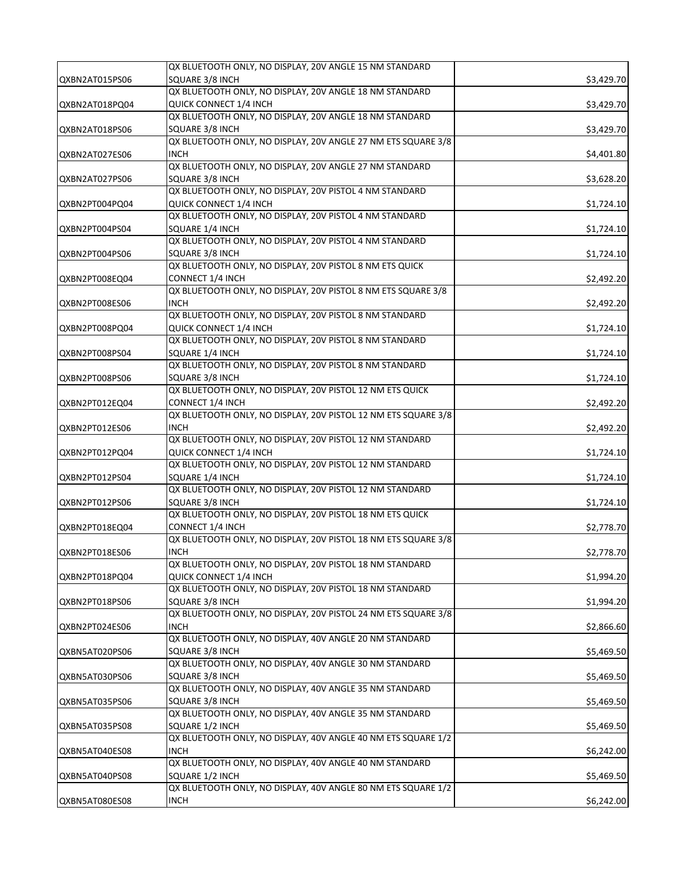|                | QX BLUETOOTH ONLY, NO DISPLAY, 20V ANGLE 15 NM STANDARD        |            |
|----------------|----------------------------------------------------------------|------------|
| QXBN2AT015PS06 | SQUARE 3/8 INCH                                                | \$3,429.70 |
|                | QX BLUETOOTH ONLY, NO DISPLAY, 20V ANGLE 18 NM STANDARD        |            |
| QXBN2AT018PQ04 | QUICK CONNECT 1/4 INCH                                         | \$3,429.70 |
|                | QX BLUETOOTH ONLY, NO DISPLAY, 20V ANGLE 18 NM STANDARD        |            |
| QXBN2AT018PS06 | SQUARE 3/8 INCH                                                | \$3,429.70 |
|                | QX BLUETOOTH ONLY, NO DISPLAY, 20V ANGLE 27 NM ETS SQUARE 3/8  |            |
| QXBN2AT027ES06 | <b>INCH</b>                                                    | \$4,401.80 |
|                | QX BLUETOOTH ONLY, NO DISPLAY, 20V ANGLE 27 NM STANDARD        |            |
| QXBN2AT027PS06 | SQUARE 3/8 INCH                                                | \$3,628.20 |
|                | QX BLUETOOTH ONLY, NO DISPLAY, 20V PISTOL 4 NM STANDARD        |            |
| QXBN2PT004PQ04 | QUICK CONNECT 1/4 INCH                                         | \$1,724.10 |
|                | QX BLUETOOTH ONLY, NO DISPLAY, 20V PISTOL 4 NM STANDARD        |            |
| QXBN2PT004PS04 | SQUARE 1/4 INCH                                                | \$1,724.10 |
|                | QX BLUETOOTH ONLY, NO DISPLAY, 20V PISTOL 4 NM STANDARD        |            |
| QXBN2PT004PS06 | SQUARE 3/8 INCH                                                | \$1,724.10 |
|                | QX BLUETOOTH ONLY, NO DISPLAY, 20V PISTOL 8 NM ETS QUICK       |            |
| QXBN2PT008EQ04 | CONNECT 1/4 INCH                                               | \$2,492.20 |
|                | QX BLUETOOTH ONLY, NO DISPLAY, 20V PISTOL 8 NM ETS SQUARE 3/8  |            |
| QXBN2PT008ES06 | <b>INCH</b>                                                    | \$2,492.20 |
|                | QX BLUETOOTH ONLY, NO DISPLAY, 20V PISTOL 8 NM STANDARD        |            |
| QXBN2PT008PQ04 | QUICK CONNECT 1/4 INCH                                         | \$1,724.10 |
|                | QX BLUETOOTH ONLY, NO DISPLAY, 20V PISTOL 8 NM STANDARD        |            |
| QXBN2PT008PS04 | SQUARE 1/4 INCH                                                | \$1,724.10 |
|                | QX BLUETOOTH ONLY, NO DISPLAY, 20V PISTOL 8 NM STANDARD        |            |
| QXBN2PT008PS06 | SQUARE 3/8 INCH                                                | \$1,724.10 |
|                | QX BLUETOOTH ONLY, NO DISPLAY, 20V PISTOL 12 NM ETS QUICK      |            |
| QXBN2PT012EQ04 | CONNECT 1/4 INCH                                               | \$2,492.20 |
|                | QX BLUETOOTH ONLY, NO DISPLAY, 20V PISTOL 12 NM ETS SQUARE 3/8 |            |
| QXBN2PT012ES06 | <b>INCH</b>                                                    | \$2,492.20 |
|                | QX BLUETOOTH ONLY, NO DISPLAY, 20V PISTOL 12 NM STANDARD       |            |
| QXBN2PT012PQ04 | QUICK CONNECT 1/4 INCH                                         | \$1,724.10 |
|                | QX BLUETOOTH ONLY, NO DISPLAY, 20V PISTOL 12 NM STANDARD       |            |
| QXBN2PT012PS04 | SQUARE 1/4 INCH                                                | \$1,724.10 |
|                | QX BLUETOOTH ONLY, NO DISPLAY, 20V PISTOL 12 NM STANDARD       |            |
| QXBN2PT012PS06 | SQUARE 3/8 INCH                                                | \$1,724.10 |
|                | QX BLUETOOTH ONLY, NO DISPLAY, 20V PISTOL 18 NM ETS QUICK      |            |
| QXBN2PT018EQ04 | CONNECT 1/4 INCH                                               | \$2,778.70 |
|                | QX BLUETOOTH ONLY, NO DISPLAY, 20V PISTOL 18 NM ETS SQUARE 3/8 |            |
| QXBN2PT018ES06 | <b>INCH</b>                                                    | \$2,778.70 |
|                | QX BLUETOOTH ONLY, NO DISPLAY, 20V PISTOL 18 NM STANDARD       |            |
| QXBN2PT018PQ04 | QUICK CONNECT 1/4 INCH                                         | \$1,994.20 |
|                | QX BLUETOOTH ONLY, NO DISPLAY, 20V PISTOL 18 NM STANDARD       |            |
| QXBN2PT018PS06 | SQUARE 3/8 INCH                                                | \$1,994.20 |
|                | QX BLUETOOTH ONLY, NO DISPLAY, 20V PISTOL 24 NM ETS SQUARE 3/8 |            |
| QXBN2PT024ES06 | <b>INCH</b>                                                    | \$2,866.60 |
|                | QX BLUETOOTH ONLY, NO DISPLAY, 40V ANGLE 20 NM STANDARD        |            |
| QXBN5AT020PS06 | SQUARE 3/8 INCH                                                | \$5,469.50 |
|                | QX BLUETOOTH ONLY, NO DISPLAY, 40V ANGLE 30 NM STANDARD        |            |
| QXBN5AT030PS06 | SQUARE 3/8 INCH                                                | \$5,469.50 |
|                | QX BLUETOOTH ONLY, NO DISPLAY, 40V ANGLE 35 NM STANDARD        |            |
| QXBN5AT035PS06 | SQUARE 3/8 INCH                                                | \$5,469.50 |
|                | QX BLUETOOTH ONLY, NO DISPLAY, 40V ANGLE 35 NM STANDARD        |            |
| QXBN5AT035PS08 | SQUARE 1/2 INCH                                                | \$5,469.50 |
|                | QX BLUETOOTH ONLY, NO DISPLAY, 40V ANGLE 40 NM ETS SQUARE 1/2  |            |
| QXBN5AT040ES08 | <b>INCH</b>                                                    | \$6,242.00 |
|                | QX BLUETOOTH ONLY, NO DISPLAY, 40V ANGLE 40 NM STANDARD        |            |
| QXBN5AT040PS08 | SQUARE 1/2 INCH                                                | \$5,469.50 |
|                | QX BLUETOOTH ONLY, NO DISPLAY, 40V ANGLE 80 NM ETS SQUARE 1/2  |            |
| QXBN5AT080ES08 | <b>INCH</b>                                                    | \$6,242.00 |
|                |                                                                |            |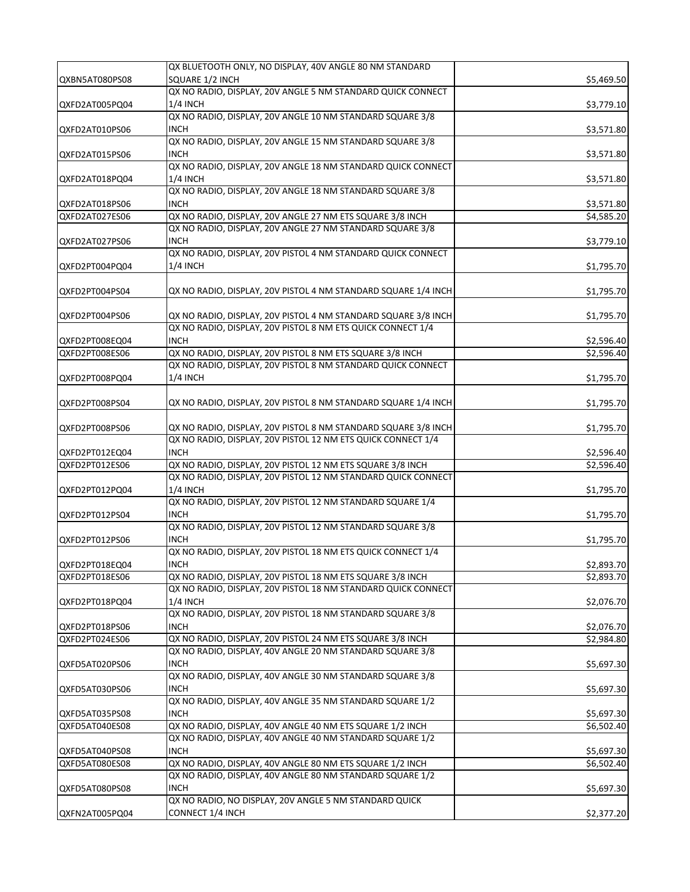|                | QX BLUETOOTH ONLY, NO DISPLAY, 40V ANGLE 80 NM STANDARD        |            |
|----------------|----------------------------------------------------------------|------------|
| QXBN5AT080PS08 | SQUARE 1/2 INCH                                                | \$5,469.50 |
|                | QX NO RADIO, DISPLAY, 20V ANGLE 5 NM STANDARD QUICK CONNECT    |            |
| QXFD2AT005PQ04 | <b>1/4 INCH</b>                                                | \$3,779.10 |
|                | QX NO RADIO, DISPLAY, 20V ANGLE 10 NM STANDARD SQUARE 3/8      |            |
| QXFD2AT010PS06 | <b>INCH</b>                                                    | \$3,571.80 |
|                | QX NO RADIO, DISPLAY, 20V ANGLE 15 NM STANDARD SQUARE 3/8      |            |
| QXFD2AT015PS06 | INCH                                                           | \$3,571.80 |
|                | QX NO RADIO, DISPLAY, 20V ANGLE 18 NM STANDARD QUICK CONNECT   |            |
| QXFD2AT018PQ04 | <b>1/4 INCH</b>                                                |            |
|                | QX NO RADIO, DISPLAY, 20V ANGLE 18 NM STANDARD SQUARE 3/8      | \$3,571.80 |
|                |                                                                |            |
| QXFD2AT018PS06 | <b>INCH</b>                                                    | \$3,571.80 |
| QXFD2AT027ES06 | QX NO RADIO, DISPLAY, 20V ANGLE 27 NM ETS SQUARE 3/8 INCH      | \$4,585.20 |
|                | QX NO RADIO, DISPLAY, 20V ANGLE 27 NM STANDARD SQUARE 3/8      |            |
| QXFD2AT027PS06 | <b>INCH</b>                                                    | \$3,779.10 |
|                | QX NO RADIO, DISPLAY, 20V PISTOL 4 NM STANDARD QUICK CONNECT   |            |
| QXFD2PT004PQ04 | $1/4$ INCH                                                     | \$1,795.70 |
|                |                                                                |            |
| QXFD2PT004PS04 | QX NO RADIO, DISPLAY, 20V PISTOL 4 NM STANDARD SQUARE 1/4 INCH | \$1,795.70 |
|                |                                                                |            |
| QXFD2PT004PS06 | QX NO RADIO, DISPLAY, 20V PISTOL 4 NM STANDARD SQUARE 3/8 INCH | \$1,795.70 |
|                | QX NO RADIO, DISPLAY, 20V PISTOL 8 NM ETS QUICK CONNECT 1/4    |            |
| QXFD2PT008EQ04 | <b>INCH</b>                                                    | \$2,596.40 |
| QXFD2PT008ES06 | QX NO RADIO, DISPLAY, 20V PISTOL 8 NM ETS SQUARE 3/8 INCH      | \$2,596.40 |
|                | QX NO RADIO, DISPLAY, 20V PISTOL 8 NM STANDARD QUICK CONNECT   |            |
| QXFD2PT008PQ04 | 1/4 INCH                                                       | \$1,795.70 |
|                |                                                                |            |
| QXFD2PT008PS04 | QX NO RADIO, DISPLAY, 20V PISTOL 8 NM STANDARD SQUARE 1/4 INCH | \$1,795.70 |
|                |                                                                |            |
| QXFD2PT008PS06 | QX NO RADIO, DISPLAY, 20V PISTOL 8 NM STANDARD SQUARE 3/8 INCH | \$1,795.70 |
|                | QX NO RADIO, DISPLAY, 20V PISTOL 12 NM ETS QUICK CONNECT 1/4   |            |
| QXFD2PT012EQ04 | <b>INCH</b>                                                    |            |
| QXFD2PT012ES06 | QX NO RADIO, DISPLAY, 20V PISTOL 12 NM ETS SQUARE 3/8 INCH     | \$2,596.40 |
|                | QX NO RADIO, DISPLAY, 20V PISTOL 12 NM STANDARD QUICK CONNECT  | \$2,596.40 |
|                |                                                                |            |
| QXFD2PT012PQ04 | <b>1/4 INCH</b>                                                | \$1,795.70 |
|                | QX NO RADIO, DISPLAY, 20V PISTOL 12 NM STANDARD SQUARE 1/4     |            |
| QXFD2PT012PS04 | <b>INCH</b>                                                    | \$1,795.70 |
|                | QX NO RADIO, DISPLAY, 20V PISTOL 12 NM STANDARD SQUARE 3/8     |            |
| QXFD2PT012PS06 | <b>INCH</b>                                                    | \$1,795.70 |
|                | QX NO RADIO, DISPLAY, 20V PISTOL 18 NM ETS QUICK CONNECT 1/4   |            |
| QXFD2PT018EQ04 | INCH                                                           | \$2,893.70 |
| QXFD2PT018ES06 | QX NO RADIO, DISPLAY, 20V PISTOL 18 NM ETS SQUARE 3/8 INCH     | \$2,893.70 |
|                | QX NO RADIO, DISPLAY, 20V PISTOL 18 NM STANDARD QUICK CONNECT  |            |
| QXFD2PT018PQ04 | <b>1/4 INCH</b>                                                | \$2,076.70 |
|                | QX NO RADIO, DISPLAY, 20V PISTOL 18 NM STANDARD SQUARE 3/8     |            |
| QXFD2PT018PS06 | <b>INCH</b>                                                    | \$2,076.70 |
| QXFD2PT024ES06 | QX NO RADIO, DISPLAY, 20V PISTOL 24 NM ETS SQUARE 3/8 INCH     | \$2,984.80 |
|                | QX NO RADIO, DISPLAY, 40V ANGLE 20 NM STANDARD SQUARE 3/8      |            |
| QXFD5AT020PS06 | INCH                                                           | \$5,697.30 |
|                | QX NO RADIO, DISPLAY, 40V ANGLE 30 NM STANDARD SQUARE 3/8      |            |
| QXFD5AT030PS06 | INCH                                                           | \$5,697.30 |
|                | QX NO RADIO, DISPLAY, 40V ANGLE 35 NM STANDARD SQUARE 1/2      |            |
| QXFD5AT035PS08 | INCH                                                           | \$5,697.30 |
|                |                                                                |            |
| QXFD5AT040ES08 | QX NO RADIO, DISPLAY, 40V ANGLE 40 NM ETS SQUARE 1/2 INCH      | \$6,502.40 |
|                | QX NO RADIO, DISPLAY, 40V ANGLE 40 NM STANDARD SQUARE 1/2      |            |
| QXFD5AT040PS08 | INCH                                                           | \$5,697.30 |
| QXFD5AT080ES08 | QX NO RADIO, DISPLAY, 40V ANGLE 80 NM ETS SQUARE 1/2 INCH      | \$6,502.40 |
|                | QX NO RADIO, DISPLAY, 40V ANGLE 80 NM STANDARD SQUARE 1/2      |            |
| QXFD5AT080PS08 | <b>INCH</b>                                                    | \$5,697.30 |
|                | QX NO RADIO, NO DISPLAY, 20V ANGLE 5 NM STANDARD QUICK         |            |
| QXFN2AT005PQ04 | CONNECT 1/4 INCH                                               | \$2,377.20 |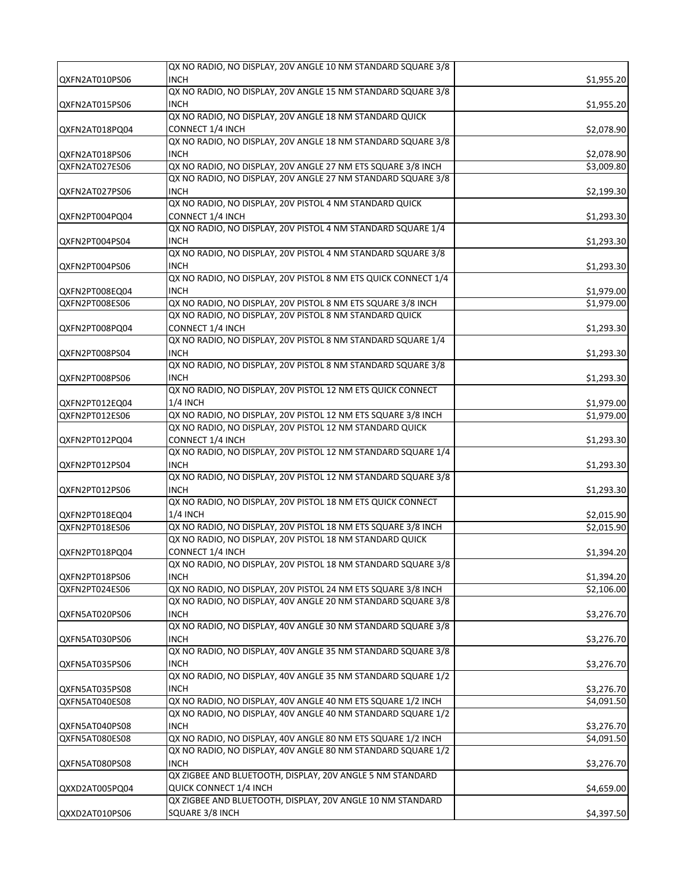|                | QX NO RADIO, NO DISPLAY, 20V ANGLE 10 NM STANDARD SQUARE 3/8                     |                        |
|----------------|----------------------------------------------------------------------------------|------------------------|
| QXFN2AT010PS06 | <b>INCH</b>                                                                      | \$1,955.20             |
|                | QX NO RADIO, NO DISPLAY, 20V ANGLE 15 NM STANDARD SQUARE 3/8                     |                        |
| QXFN2AT015PS06 | <b>INCH</b>                                                                      | \$1,955.20             |
|                | QX NO RADIO, NO DISPLAY, 20V ANGLE 18 NM STANDARD QUICK                          |                        |
| QXFN2AT018PQ04 | CONNECT 1/4 INCH                                                                 | \$2,078.90             |
|                | QX NO RADIO, NO DISPLAY, 20V ANGLE 18 NM STANDARD SQUARE 3/8                     |                        |
| QXFN2AT018PS06 | <b>INCH</b>                                                                      | \$2,078.90             |
| QXFN2AT027ES06 | QX NO RADIO, NO DISPLAY, 20V ANGLE 27 NM ETS SQUARE 3/8 INCH                     | \$3,009.80             |
|                | QX NO RADIO, NO DISPLAY, 20V ANGLE 27 NM STANDARD SQUARE 3/8                     |                        |
|                | <b>INCH</b>                                                                      | \$2,199.30             |
| QXFN2AT027PS06 |                                                                                  |                        |
|                | QX NO RADIO, NO DISPLAY, 20V PISTOL 4 NM STANDARD QUICK                          |                        |
| QXFN2PT004PQ04 | CONNECT 1/4 INCH<br>QX NO RADIO, NO DISPLAY, 20V PISTOL 4 NM STANDARD SQUARE 1/4 | \$1,293.30             |
|                |                                                                                  |                        |
| QXFN2PT004PS04 | <b>INCH</b>                                                                      | \$1,293.30             |
|                | QX NO RADIO, NO DISPLAY, 20V PISTOL 4 NM STANDARD SQUARE 3/8                     |                        |
| QXFN2PT004PS06 | <b>INCH</b>                                                                      | \$1,293.30             |
|                | QX NO RADIO, NO DISPLAY, 20V PISTOL 8 NM ETS QUICK CONNECT 1/4                   |                        |
| QXFN2PT008EQ04 | <b>INCH</b>                                                                      | \$1,979.00             |
| QXFN2PT008ES06 | QX NO RADIO, NO DISPLAY, 20V PISTOL 8 NM ETS SQUARE 3/8 INCH                     | $\overline{$}1,979.00$ |
|                | QX NO RADIO, NO DISPLAY, 20V PISTOL 8 NM STANDARD QUICK                          |                        |
| QXFN2PT008PQ04 | CONNECT 1/4 INCH                                                                 | \$1,293.30             |
|                | QX NO RADIO, NO DISPLAY, 20V PISTOL 8 NM STANDARD SQUARE 1/4                     |                        |
| QXFN2PT008PS04 | <b>INCH</b>                                                                      | \$1,293.30             |
|                | QX NO RADIO, NO DISPLAY, 20V PISTOL 8 NM STANDARD SQUARE 3/8                     |                        |
| QXFN2PT008PS06 | <b>INCH</b>                                                                      | \$1,293.30             |
|                | QX NO RADIO, NO DISPLAY, 20V PISTOL 12 NM ETS QUICK CONNECT                      |                        |
| QXFN2PT012EQ04 | <b>1/4 INCH</b>                                                                  | \$1,979.00             |
| QXFN2PT012ES06 | QX NO RADIO, NO DISPLAY, 20V PISTOL 12 NM ETS SQUARE 3/8 INCH                    | \$1,979.00             |
|                | QX NO RADIO, NO DISPLAY, 20V PISTOL 12 NM STANDARD QUICK                         |                        |
| QXFN2PT012PQ04 | CONNECT 1/4 INCH                                                                 | \$1,293.30             |
|                | QX NO RADIO, NO DISPLAY, 20V PISTOL 12 NM STANDARD SQUARE 1/4                    |                        |
| QXFN2PT012PS04 | <b>INCH</b>                                                                      | \$1,293.30             |
|                | QX NO RADIO, NO DISPLAY, 20V PISTOL 12 NM STANDARD SQUARE 3/8                    |                        |
| QXFN2PT012PS06 | <b>INCH</b>                                                                      | \$1,293.30             |
|                | QX NO RADIO, NO DISPLAY, 20V PISTOL 18 NM ETS QUICK CONNECT                      |                        |
| QXFN2PT018EQ04 | <b>1/4 INCH</b>                                                                  | \$2,015.90             |
| QXFN2PT018ES06 | QX NO RADIO, NO DISPLAY, 20V PISTOL 18 NM ETS SQUARE 3/8 INCH                    | \$2,015.90             |
|                | QX NO RADIO, NO DISPLAY, 20V PISTOL 18 NM STANDARD QUICK                         |                        |
| QXFN2PT018PQ04 | CONNECT 1/4 INCH                                                                 | \$1,394.20             |
|                | QX NO RADIO, NO DISPLAY, 20V PISTOL 18 NM STANDARD SQUARE 3/8                    |                        |
| QXFN2PT018PS06 | INCH                                                                             | \$1,394.20             |
| QXFN2PT024ES06 | QX NO RADIO, NO DISPLAY, 20V PISTOL 24 NM ETS SQUARE 3/8 INCH                    | \$2,106.00             |
|                | QX NO RADIO, NO DISPLAY, 40V ANGLE 20 NM STANDARD SQUARE 3/8                     |                        |
| QXFN5AT020PS06 | <b>INCH</b>                                                                      | \$3,276.70             |
|                | QX NO RADIO, NO DISPLAY, 40V ANGLE 30 NM STANDARD SQUARE 3/8                     |                        |
| QXFN5AT030PS06 | <b>INCH</b>                                                                      | \$3,276.70             |
|                | QX NO RADIO, NO DISPLAY, 40V ANGLE 35 NM STANDARD SQUARE 3/8                     |                        |
| QXFN5AT035PS06 | <b>INCH</b>                                                                      | \$3,276.70             |
|                | QX NO RADIO, NO DISPLAY, 40V ANGLE 35 NM STANDARD SQUARE 1/2                     |                        |
| QXFN5AT035PS08 | INCH                                                                             | \$3,276.70             |
| QXFN5AT040ES08 | QX NO RADIO, NO DISPLAY, 40V ANGLE 40 NM ETS SQUARE 1/2 INCH                     | \$4,091.50             |
|                | QX NO RADIO, NO DISPLAY, 40V ANGLE 40 NM STANDARD SQUARE 1/2                     |                        |
| QXFN5AT040PS08 | <b>INCH</b>                                                                      | \$3,276.70             |
| QXFN5AT080ES08 | QX NO RADIO, NO DISPLAY, 40V ANGLE 80 NM ETS SQUARE 1/2 INCH                     | \$4,091.50             |
|                | QX NO RADIO, NO DISPLAY, 40V ANGLE 80 NM STANDARD SQUARE 1/2                     |                        |
|                |                                                                                  |                        |
| QXFN5AT080PS08 | <b>INCH</b>                                                                      | \$3,276.70             |
|                | QX ZIGBEE AND BLUETOOTH, DISPLAY, 20V ANGLE 5 NM STANDARD                        |                        |
| QXXD2AT005PQ04 | QUICK CONNECT 1/4 INCH                                                           | \$4,659.00             |
|                | QX ZIGBEE AND BLUETOOTH, DISPLAY, 20V ANGLE 10 NM STANDARD                       |                        |
| QXXD2AT010PS06 | SQUARE 3/8 INCH                                                                  | \$4,397.50             |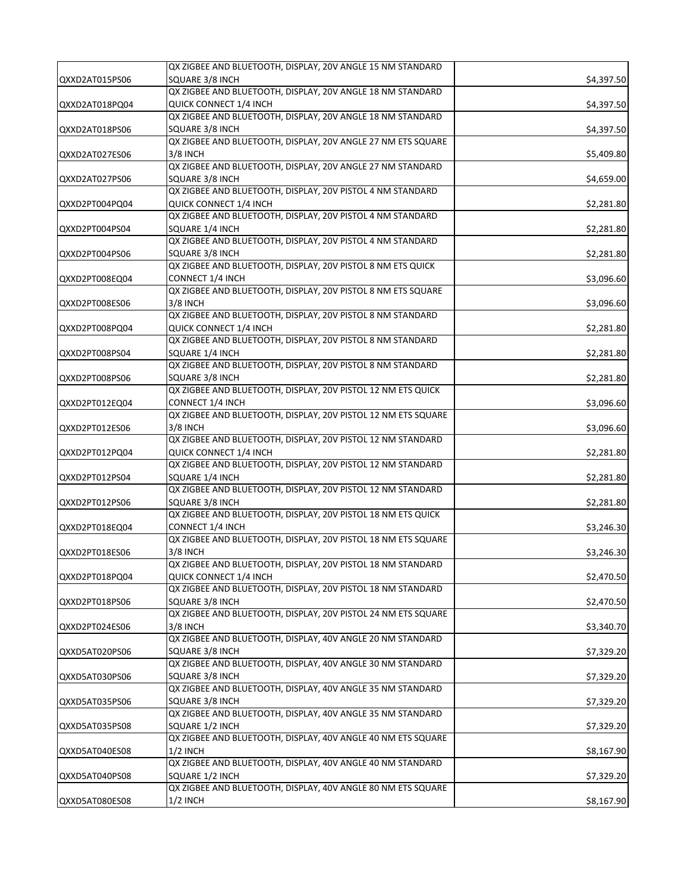|                | QX ZIGBEE AND BLUETOOTH, DISPLAY, 20V ANGLE 15 NM STANDARD                    |            |
|----------------|-------------------------------------------------------------------------------|------------|
| QXXD2AT015PS06 | SQUARE 3/8 INCH                                                               | \$4,397.50 |
|                | QX ZIGBEE AND BLUETOOTH, DISPLAY, 20V ANGLE 18 NM STANDARD                    |            |
| QXXD2AT018PQ04 | QUICK CONNECT 1/4 INCH                                                        | \$4,397.50 |
|                | QX ZIGBEE AND BLUETOOTH, DISPLAY, 20V ANGLE 18 NM STANDARD                    |            |
| QXXD2AT018PS06 | SQUARE 3/8 INCH                                                               | \$4,397.50 |
|                | QX ZIGBEE AND BLUETOOTH, DISPLAY, 20V ANGLE 27 NM ETS SQUARE                  |            |
| QXXD2AT027ES06 | 3/8 INCH                                                                      | \$5,409.80 |
|                | QX ZIGBEE AND BLUETOOTH, DISPLAY, 20V ANGLE 27 NM STANDARD                    |            |
| QXXD2AT027PS06 | SQUARE 3/8 INCH                                                               | \$4,659.00 |
|                | QX ZIGBEE AND BLUETOOTH, DISPLAY, 20V PISTOL 4 NM STANDARD                    |            |
|                | QUICK CONNECT 1/4 INCH                                                        |            |
| QXXD2PT004PQ04 | QX ZIGBEE AND BLUETOOTH, DISPLAY, 20V PISTOL 4 NM STANDARD                    | \$2,281.80 |
|                |                                                                               |            |
| QXXD2PT004PS04 | SQUARE 1/4 INCH<br>QX ZIGBEE AND BLUETOOTH, DISPLAY, 20V PISTOL 4 NM STANDARD | \$2,281.80 |
|                |                                                                               |            |
| QXXD2PT004PS06 | SQUARE 3/8 INCH                                                               | \$2,281.80 |
|                | QX ZIGBEE AND BLUETOOTH, DISPLAY, 20V PISTOL 8 NM ETS QUICK                   |            |
| QXXD2PT008EQ04 | CONNECT 1/4 INCH                                                              | \$3,096.60 |
|                | QX ZIGBEE AND BLUETOOTH, DISPLAY, 20V PISTOL 8 NM ETS SQUARE                  |            |
| QXXD2PT008ES06 | 3/8 INCH                                                                      | \$3,096.60 |
|                | QX ZIGBEE AND BLUETOOTH, DISPLAY, 20V PISTOL 8 NM STANDARD                    |            |
| QXXD2PT008PQ04 | QUICK CONNECT 1/4 INCH                                                        | \$2,281.80 |
|                | QX ZIGBEE AND BLUETOOTH, DISPLAY, 20V PISTOL 8 NM STANDARD                    |            |
| QXXD2PT008PS04 | SQUARE 1/4 INCH                                                               | \$2,281.80 |
|                | QX ZIGBEE AND BLUETOOTH, DISPLAY, 20V PISTOL 8 NM STANDARD                    |            |
| QXXD2PT008PS06 | SQUARE 3/8 INCH                                                               | \$2,281.80 |
|                | QX ZIGBEE AND BLUETOOTH, DISPLAY, 20V PISTOL 12 NM ETS QUICK                  |            |
| QXXD2PT012EQ04 | CONNECT 1/4 INCH                                                              | \$3,096.60 |
|                | QX ZIGBEE AND BLUETOOTH, DISPLAY, 20V PISTOL 12 NM ETS SQUARE                 |            |
| QXXD2PT012ES06 | 3/8 INCH                                                                      | \$3,096.60 |
|                | QX ZIGBEE AND BLUETOOTH, DISPLAY, 20V PISTOL 12 NM STANDARD                   |            |
| QXXD2PT012PQ04 | QUICK CONNECT 1/4 INCH                                                        | \$2,281.80 |
|                | QX ZIGBEE AND BLUETOOTH, DISPLAY, 20V PISTOL 12 NM STANDARD                   |            |
| QXXD2PT012PS04 | SQUARE 1/4 INCH                                                               | \$2,281.80 |
|                | QX ZIGBEE AND BLUETOOTH, DISPLAY, 20V PISTOL 12 NM STANDARD                   |            |
| QXXD2PT012PS06 | SQUARE 3/8 INCH                                                               | \$2,281.80 |
|                | QX ZIGBEE AND BLUETOOTH, DISPLAY, 20V PISTOL 18 NM ETS QUICK                  |            |
| QXXD2PT018EQ04 | <b>CONNECT 1/4 INCH</b>                                                       | \$3,246.30 |
|                | QX ZIGBEE AND BLUETOOTH, DISPLAY, 20V PISTOL 18 NM ETS SQUARE                 |            |
| QXXD2PT018ES06 | 3/8 INCH                                                                      | \$3,246.30 |
|                | QX ZIGBEE AND BLUETOOTH, DISPLAY, 20V PISTOL 18 NM STANDARD                   |            |
| QXXD2PT018PQ04 | QUICK CONNECT 1/4 INCH                                                        | \$2,470.50 |
|                | QX ZIGBEE AND BLUETOOTH, DISPLAY, 20V PISTOL 18 NM STANDARD                   |            |
| QXXD2PT018PS06 | SQUARE 3/8 INCH                                                               | \$2,470.50 |
|                | QX ZIGBEE AND BLUETOOTH, DISPLAY, 20V PISTOL 24 NM ETS SQUARE                 |            |
|                | 3/8 INCH                                                                      |            |
| QXXD2PT024ES06 | QX ZIGBEE AND BLUETOOTH, DISPLAY, 40V ANGLE 20 NM STANDARD                    | \$3,340.70 |
|                | SQUARE 3/8 INCH                                                               |            |
| QXXD5AT020PS06 | QX ZIGBEE AND BLUETOOTH, DISPLAY, 40V ANGLE 30 NM STANDARD                    | \$7,329.20 |
|                |                                                                               |            |
| QXXD5AT030PS06 | SQUARE 3/8 INCH                                                               | \$7,329.20 |
|                | QX ZIGBEE AND BLUETOOTH, DISPLAY, 40V ANGLE 35 NM STANDARD                    |            |
| QXXD5AT035PS06 | SQUARE 3/8 INCH                                                               | \$7,329.20 |
|                | QX ZIGBEE AND BLUETOOTH, DISPLAY, 40V ANGLE 35 NM STANDARD                    |            |
| QXXD5AT035PS08 | SQUARE 1/2 INCH                                                               | \$7,329.20 |
|                | QX ZIGBEE AND BLUETOOTH, DISPLAY, 40V ANGLE 40 NM ETS SQUARE                  |            |
| QXXD5AT040ES08 | $1/2$ INCH                                                                    | \$8,167.90 |
|                | QX ZIGBEE AND BLUETOOTH, DISPLAY, 40V ANGLE 40 NM STANDARD                    |            |
| QXXD5AT040PS08 | SQUARE 1/2 INCH                                                               | \$7,329.20 |
|                | QX ZIGBEE AND BLUETOOTH, DISPLAY, 40V ANGLE 80 NM ETS SQUARE                  |            |
| QXXD5AT080ES08 | $1/2$ INCH                                                                    | \$8,167.90 |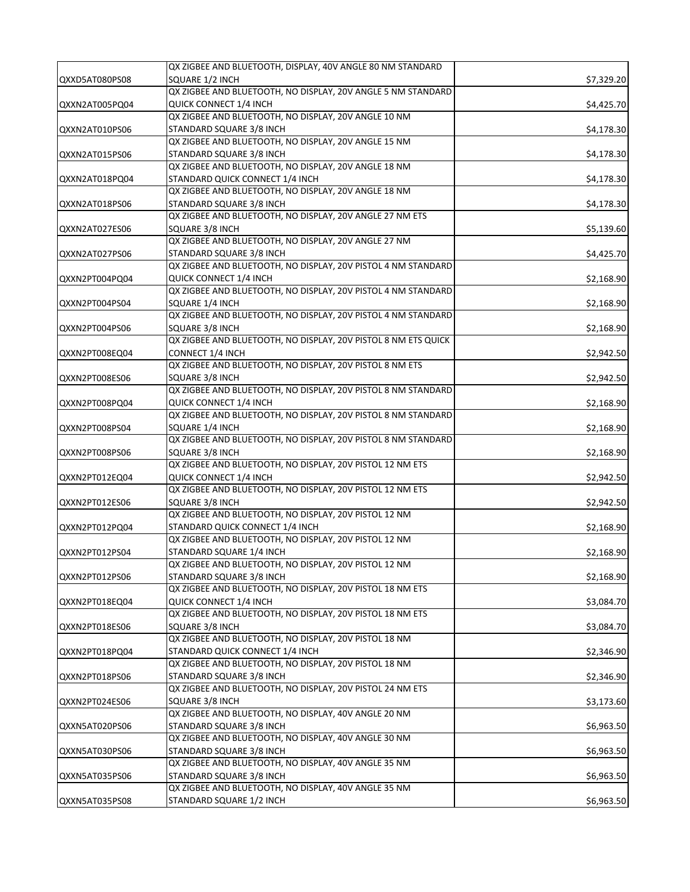|                | QX ZIGBEE AND BLUETOOTH, DISPLAY, 40V ANGLE 80 NM STANDARD                           |            |
|----------------|--------------------------------------------------------------------------------------|------------|
| QXXD5AT080PS08 | SQUARE 1/2 INCH                                                                      | \$7,329.20 |
|                | QX ZIGBEE AND BLUETOOTH, NO DISPLAY, 20V ANGLE 5 NM STANDARD                         |            |
| QXXN2AT005PQ04 | QUICK CONNECT 1/4 INCH                                                               | \$4,425.70 |
|                | QX ZIGBEE AND BLUETOOTH, NO DISPLAY, 20V ANGLE 10 NM                                 |            |
| QXXN2AT010PS06 | STANDARD SQUARE 3/8 INCH                                                             | \$4,178.30 |
|                | QX ZIGBEE AND BLUETOOTH, NO DISPLAY, 20V ANGLE 15 NM                                 |            |
| QXXN2AT015PS06 | STANDARD SQUARE 3/8 INCH                                                             | \$4,178.30 |
|                | QX ZIGBEE AND BLUETOOTH, NO DISPLAY, 20V ANGLE 18 NM                                 |            |
| QXXN2AT018PQ04 | STANDARD QUICK CONNECT 1/4 INCH                                                      | \$4,178.30 |
|                | QX ZIGBEE AND BLUETOOTH, NO DISPLAY, 20V ANGLE 18 NM                                 |            |
|                |                                                                                      |            |
| QXXN2AT018PS06 | STANDARD SQUARE 3/8 INCH<br>QX ZIGBEE AND BLUETOOTH, NO DISPLAY, 20V ANGLE 27 NM ETS | \$4,178.30 |
|                |                                                                                      |            |
| QXXN2AT027ES06 | SQUARE 3/8 INCH                                                                      | \$5,139.60 |
|                | QX ZIGBEE AND BLUETOOTH, NO DISPLAY, 20V ANGLE 27 NM                                 |            |
| QXXN2AT027PS06 | STANDARD SQUARE 3/8 INCH                                                             | \$4,425.70 |
|                | QX ZIGBEE AND BLUETOOTH, NO DISPLAY, 20V PISTOL 4 NM STANDARD                        |            |
| QXXN2PT004PQ04 | QUICK CONNECT 1/4 INCH                                                               | \$2,168.90 |
|                | QX ZIGBEE AND BLUETOOTH, NO DISPLAY, 20V PISTOL 4 NM STANDARD                        |            |
| QXXN2PT004PS04 | SQUARE 1/4 INCH                                                                      | \$2,168.90 |
|                | QX ZIGBEE AND BLUETOOTH, NO DISPLAY, 20V PISTOL 4 NM STANDARD                        |            |
| QXXN2PT004PS06 | SQUARE 3/8 INCH                                                                      | \$2,168.90 |
|                | QX ZIGBEE AND BLUETOOTH, NO DISPLAY, 20V PISTOL 8 NM ETS QUICK                       |            |
| QXXN2PT008EQ04 | <b>CONNECT 1/4 INCH</b>                                                              | \$2,942.50 |
|                | QX ZIGBEE AND BLUETOOTH, NO DISPLAY, 20V PISTOL 8 NM ETS                             |            |
| QXXN2PT008ES06 | SQUARE 3/8 INCH                                                                      | \$2,942.50 |
|                | QX ZIGBEE AND BLUETOOTH, NO DISPLAY, 20V PISTOL 8 NM STANDARD                        |            |
| QXXN2PT008PQ04 | QUICK CONNECT 1/4 INCH                                                               | \$2,168.90 |
|                | QX ZIGBEE AND BLUETOOTH, NO DISPLAY, 20V PISTOL 8 NM STANDARD                        |            |
| QXXN2PT008PS04 | SQUARE 1/4 INCH                                                                      | \$2,168.90 |
|                | QX ZIGBEE AND BLUETOOTH, NO DISPLAY, 20V PISTOL 8 NM STANDARD                        |            |
| QXXN2PT008PS06 | SQUARE 3/8 INCH                                                                      | \$2,168.90 |
|                | QX ZIGBEE AND BLUETOOTH, NO DISPLAY, 20V PISTOL 12 NM ETS                            |            |
| QXXN2PT012EQ04 | QUICK CONNECT 1/4 INCH                                                               | \$2,942.50 |
|                | QX ZIGBEE AND BLUETOOTH, NO DISPLAY, 20V PISTOL 12 NM ETS                            |            |
| QXXN2PT012ES06 | SQUARE 3/8 INCH                                                                      | \$2,942.50 |
|                | QX ZIGBEE AND BLUETOOTH, NO DISPLAY, 20V PISTOL 12 NM                                |            |
|                | STANDARD QUICK CONNECT 1/4 INCH                                                      |            |
| QXXN2PT012PQ04 | QX ZIGBEE AND BLUETOOTH, NO DISPLAY, 20V PISTOL 12 NM                                | \$2,168.90 |
|                |                                                                                      |            |
| QXXN2PT012PS04 | STANDARD SQUARE 1/4 INCH                                                             | \$2,168.90 |
|                | QX ZIGBEE AND BLUETOOTH, NO DISPLAY, 20V PISTOL 12 NM                                |            |
| QXXN2PT012PS06 | STANDARD SQUARE 3/8 INCH                                                             | \$2,168.90 |
|                | QX ZIGBEE AND BLUETOOTH, NO DISPLAY, 20V PISTOL 18 NM ETS                            |            |
| QXXN2PT018EQ04 | QUICK CONNECT 1/4 INCH                                                               | \$3,084.70 |
|                | QX ZIGBEE AND BLUETOOTH, NO DISPLAY, 20V PISTOL 18 NM ETS                            |            |
| QXXN2PT018ES06 | SQUARE 3/8 INCH                                                                      | \$3,084.70 |
|                | QX ZIGBEE AND BLUETOOTH, NO DISPLAY, 20V PISTOL 18 NM                                |            |
| QXXN2PT018PQ04 | STANDARD QUICK CONNECT 1/4 INCH                                                      | \$2,346.90 |
|                | QX ZIGBEE AND BLUETOOTH, NO DISPLAY, 20V PISTOL 18 NM                                |            |
| QXXN2PT018PS06 | STANDARD SQUARE 3/8 INCH                                                             | \$2,346.90 |
|                | QX ZIGBEE AND BLUETOOTH, NO DISPLAY, 20V PISTOL 24 NM ETS                            |            |
| QXXN2PT024ES06 | SQUARE 3/8 INCH                                                                      | \$3,173.60 |
|                | QX ZIGBEE AND BLUETOOTH, NO DISPLAY, 40V ANGLE 20 NM                                 |            |
| QXXN5AT020PS06 | STANDARD SQUARE 3/8 INCH                                                             | \$6,963.50 |
|                | QX ZIGBEE AND BLUETOOTH, NO DISPLAY, 40V ANGLE 30 NM                                 |            |
| QXXN5AT030PS06 | STANDARD SQUARE 3/8 INCH                                                             | \$6,963.50 |
|                | QX ZIGBEE AND BLUETOOTH, NO DISPLAY, 40V ANGLE 35 NM                                 |            |
| QXXN5AT035PS06 | STANDARD SQUARE 3/8 INCH                                                             | \$6,963.50 |
|                | QX ZIGBEE AND BLUETOOTH, NO DISPLAY, 40V ANGLE 35 NM                                 |            |
| QXXN5AT035PS08 | STANDARD SQUARE 1/2 INCH                                                             | \$6,963.50 |
|                |                                                                                      |            |